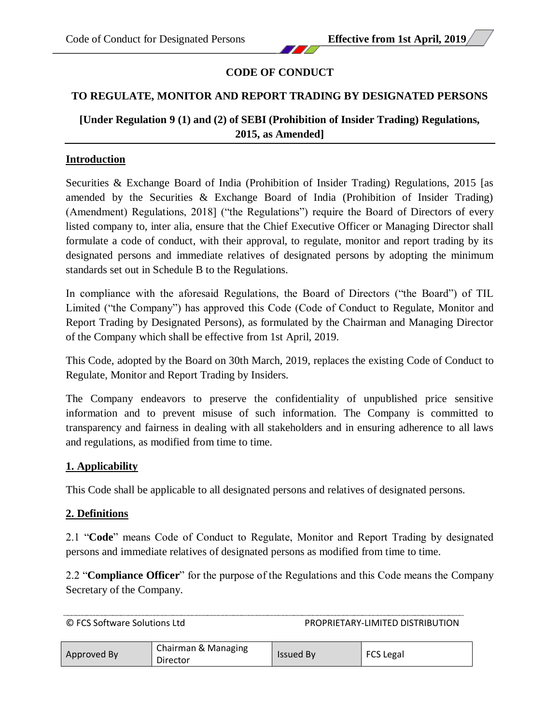# **CODE OF CONDUCT**

# **TO REGULATE, MONITOR AND REPORT TRADING BY DESIGNATED PERSONS**

# **[Under Regulation 9 (1) and (2) of SEBI (Prohibition of Insider Trading) Regulations, 2015, as Amended]**

### **Introduction**

Securities & Exchange Board of India (Prohibition of Insider Trading) Regulations, 2015 [as amended by the Securities & Exchange Board of India (Prohibition of Insider Trading) (Amendment) Regulations, 2018] ("the Regulations") require the Board of Directors of every listed company to, inter alia, ensure that the Chief Executive Officer or Managing Director shall formulate a code of conduct, with their approval, to regulate, monitor and report trading by its designated persons and immediate relatives of designated persons by adopting the minimum standards set out in Schedule B to the Regulations.

In compliance with the aforesaid Regulations, the Board of Directors ("the Board") of TIL Limited ("the Company") has approved this Code (Code of Conduct to Regulate, Monitor and Report Trading by Designated Persons), as formulated by the Chairman and Managing Director of the Company which shall be effective from 1st April, 2019.

This Code, adopted by the Board on 30th March, 2019, replaces the existing Code of Conduct to Regulate, Monitor and Report Trading by Insiders.

The Company endeavors to preserve the confidentiality of unpublished price sensitive information and to prevent misuse of such information. The Company is committed to transparency and fairness in dealing with all stakeholders and in ensuring adherence to all laws and regulations, as modified from time to time.

# **1. Applicability**

This Code shall be applicable to all designated persons and relatives of designated persons.

#### **2. Definitions**

2.1 "**Code**" means Code of Conduct to Regulate, Monitor and Report Trading by designated persons and immediate relatives of designated persons as modified from time to time.

2.2 "**Compliance Officer**" for the purpose of the Regulations and this Code means the Company Secretary of the Company.

| © FCS Software Solutions Ltd |                                 | PROPRIETARY-LIMITED DISTRIBUTION |                  |  |
|------------------------------|---------------------------------|----------------------------------|------------------|--|
| Approved By                  | Chairman & Managing<br>Director | <b>Issued By</b>                 | <b>FCS Legal</b> |  |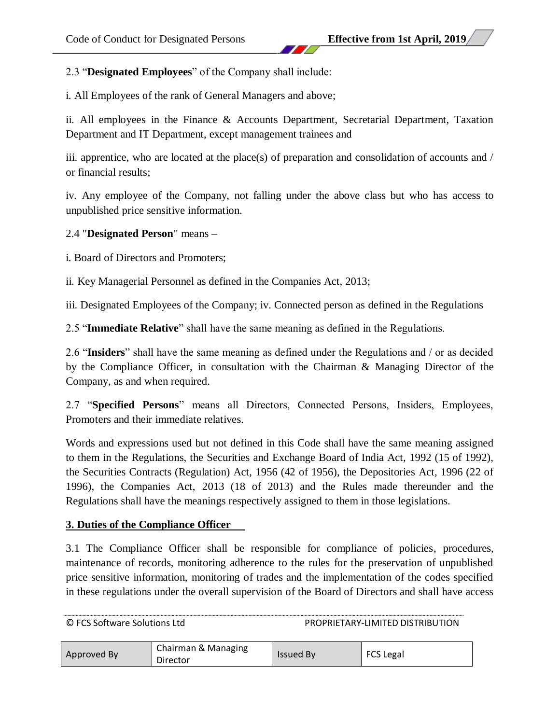2.3 "**Designated Employees**" of the Company shall include:

i. All Employees of the rank of General Managers and above;

ii. All employees in the Finance & Accounts Department, Secretarial Department, Taxation Department and IT Department, except management trainees and

iii. apprentice, who are located at the place(s) of preparation and consolidation of accounts and / or financial results;

iv. Any employee of the Company, not falling under the above class but who has access to unpublished price sensitive information.

2.4 "**Designated Person**" means –

i. Board of Directors and Promoters;

ii. Key Managerial Personnel as defined in the Companies Act, 2013;

iii. Designated Employees of the Company; iv. Connected person as defined in the Regulations

2.5 "**Immediate Relative**" shall have the same meaning as defined in the Regulations.

2.6 "**Insiders**" shall have the same meaning as defined under the Regulations and / or as decided by the Compliance Officer, in consultation with the Chairman & Managing Director of the Company, as and when required.

2.7 "**Specified Persons**" means all Directors, Connected Persons, Insiders, Employees, Promoters and their immediate relatives.

Words and expressions used but not defined in this Code shall have the same meaning assigned to them in the Regulations, the Securities and Exchange Board of India Act, 1992 (15 of 1992), the Securities Contracts (Regulation) Act, 1956 (42 of 1956), the Depositories Act, 1996 (22 of 1996), the Companies Act, 2013 (18 of 2013) and the Rules made thereunder and the Regulations shall have the meanings respectively assigned to them in those legislations.

#### **3. Duties of the Compliance Officer**

3.1 The Compliance Officer shall be responsible for compliance of policies, procedures, maintenance of records, monitoring adherence to the rules for the preservation of unpublished price sensitive information, monitoring of trades and the implementation of the codes specified in these regulations under the overall supervision of the Board of Directors and shall have access

| Approved By | Chairman & Managing<br>Director | <b>Issued By</b> | <b>FCS Legal</b> |
|-------------|---------------------------------|------------------|------------------|
|-------------|---------------------------------|------------------|------------------|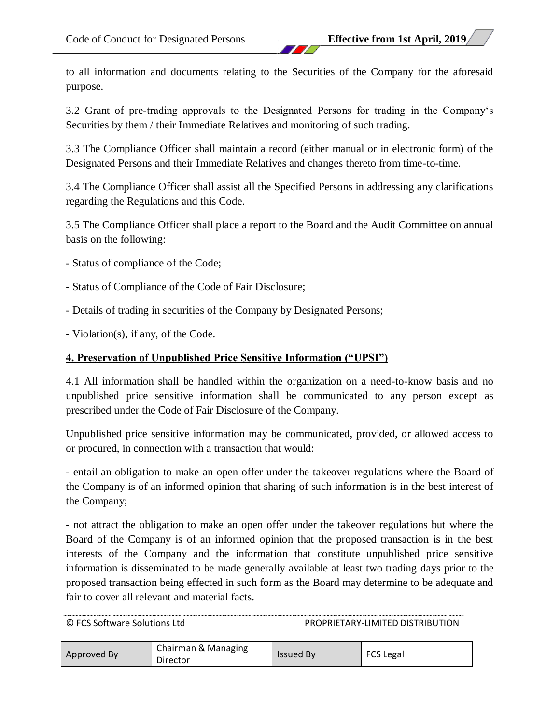to all information and documents relating to the Securities of the Company for the aforesaid purpose.

3.2 Grant of pre-trading approvals to the Designated Persons for trading in the Company's Securities by them / their Immediate Relatives and monitoring of such trading.

3.3 The Compliance Officer shall maintain a record (either manual or in electronic form) of the Designated Persons and their Immediate Relatives and changes thereto from time-to-time.

3.4 The Compliance Officer shall assist all the Specified Persons in addressing any clarifications regarding the Regulations and this Code.

3.5 The Compliance Officer shall place a report to the Board and the Audit Committee on annual basis on the following:

- Status of compliance of the Code;
- Status of Compliance of the Code of Fair Disclosure;
- Details of trading in securities of the Company by Designated Persons;
- Violation(s), if any, of the Code.

# **4. Preservation of Unpublished Price Sensitive Information ("UPSI")**

4.1 All information shall be handled within the organization on a need-to-know basis and no unpublished price sensitive information shall be communicated to any person except as prescribed under the Code of Fair Disclosure of the Company.

Unpublished price sensitive information may be communicated, provided, or allowed access to or procured, in connection with a transaction that would:

- entail an obligation to make an open offer under the takeover regulations where the Board of the Company is of an informed opinion that sharing of such information is in the best interest of the Company;

- not attract the obligation to make an open offer under the takeover regulations but where the Board of the Company is of an informed opinion that the proposed transaction is in the best interests of the Company and the information that constitute unpublished price sensitive information is disseminated to be made generally available at least two trading days prior to the proposed transaction being effected in such form as the Board may determine to be adequate and fair to cover all relevant and material facts.

| Approved By<br>Director | Chairman & Managing | <b>Issued By</b> | <b>FCS Legal</b> |
|-------------------------|---------------------|------------------|------------------|
|-------------------------|---------------------|------------------|------------------|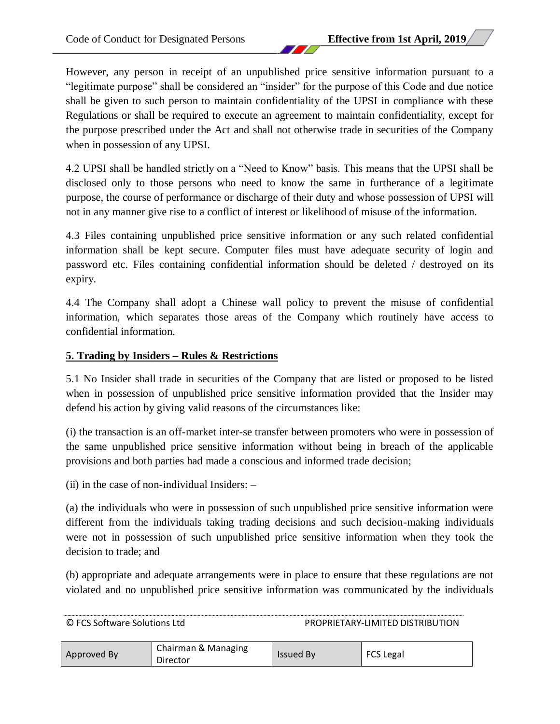However, any person in receipt of an unpublished price sensitive information pursuant to a "legitimate purpose" shall be considered an "insider" for the purpose of this Code and due notice shall be given to such person to maintain confidentiality of the UPSI in compliance with these Regulations or shall be required to execute an agreement to maintain confidentiality, except for the purpose prescribed under the Act and shall not otherwise trade in securities of the Company when in possession of any UPSI.

4.2 UPSI shall be handled strictly on a "Need to Know" basis. This means that the UPSI shall be disclosed only to those persons who need to know the same in furtherance of a legitimate purpose, the course of performance or discharge of their duty and whose possession of UPSI will not in any manner give rise to a conflict of interest or likelihood of misuse of the information.

4.3 Files containing unpublished price sensitive information or any such related confidential information shall be kept secure. Computer files must have adequate security of login and password etc. Files containing confidential information should be deleted / destroyed on its expiry.

4.4 The Company shall adopt a Chinese wall policy to prevent the misuse of confidential information, which separates those areas of the Company which routinely have access to confidential information.

### **5. Trading by Insiders – Rules & Restrictions**

5.1 No Insider shall trade in securities of the Company that are listed or proposed to be listed when in possession of unpublished price sensitive information provided that the Insider may defend his action by giving valid reasons of the circumstances like:

(i) the transaction is an off-market inter-se transfer between promoters who were in possession of the same unpublished price sensitive information without being in breach of the applicable provisions and both parties had made a conscious and informed trade decision;

(ii) in the case of non-individual Insiders:  $-$ 

(a) the individuals who were in possession of such unpublished price sensitive information were different from the individuals taking trading decisions and such decision-making individuals were not in possession of such unpublished price sensitive information when they took the decision to trade; and

(b) appropriate and adequate arrangements were in place to ensure that these regulations are not violated and no unpublished price sensitive information was communicated by the individuals

| © FCS Software Solutions Ltd |  |
|------------------------------|--|
|------------------------------|--|

PROPRIETARY-LIMITED DISTRIBUTION

| Chairman & Managing<br>Approved By<br>Director | <b>Issued By</b> | <b>FCS Legal</b> |
|------------------------------------------------|------------------|------------------|
|------------------------------------------------|------------------|------------------|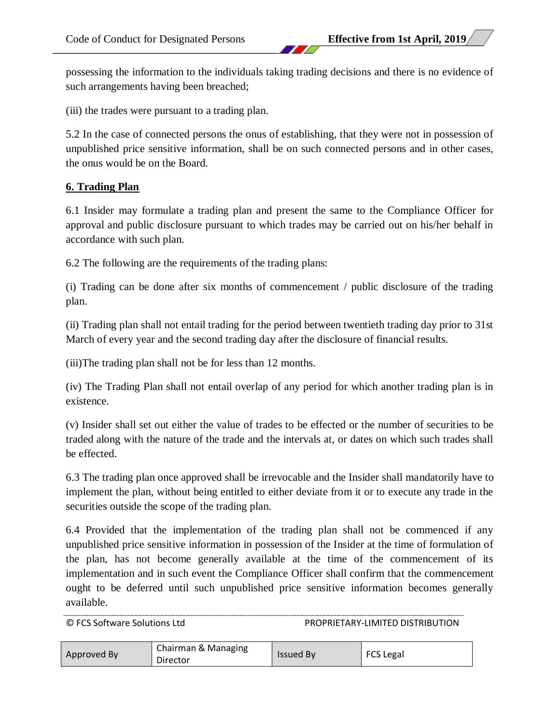possessing the information to the individuals taking trading decisions and there is no evidence of such arrangements having been breached;

(iii) the trades were pursuant to a trading plan.

5.2 In the case of connected persons the onus of establishing, that they were not in possession of unpublished price sensitive information, shall be on such connected persons and in other cases, the onus would be on the Board.

### **6. Trading Plan**

6.1 Insider may formulate a trading plan and present the same to the Compliance Officer for approval and public disclosure pursuant to which trades may be carried out on his/her behalf in accordance with such plan.

6.2 The following are the requirements of the trading plans:

(i) Trading can be done after six months of commencement / public disclosure of the trading plan.

(ii) Trading plan shall not entail trading for the period between twentieth trading day prior to 31st March of every year and the second trading day after the disclosure of financial results.

(iii)The trading plan shall not be for less than 12 months.

(iv) The Trading Plan shall not entail overlap of any period for which another trading plan is in existence.

(v) Insider shall set out either the value of trades to be effected or the number of securities to be traded along with the nature of the trade and the intervals at, or dates on which such trades shall be effected.

6.3 The trading plan once approved shall be irrevocable and the Insider shall mandatorily have to implement the plan, without being entitled to either deviate from it or to execute any trade in the securities outside the scope of the trading plan.

6.4 Provided that the implementation of the trading plan shall not be commenced if any unpublished price sensitive information in possession of the Insider at the time of formulation of the plan, has not become generally available at the time of the commencement of its implementation and in such event the Compliance Officer shall confirm that the commencement ought to be deferred until such unpublished price sensitive information becomes generally available.

| Chairman & Managing<br>Approved By<br>Director | <b>Issued By</b> | <b>FCS Legal</b> |
|------------------------------------------------|------------------|------------------|
|------------------------------------------------|------------------|------------------|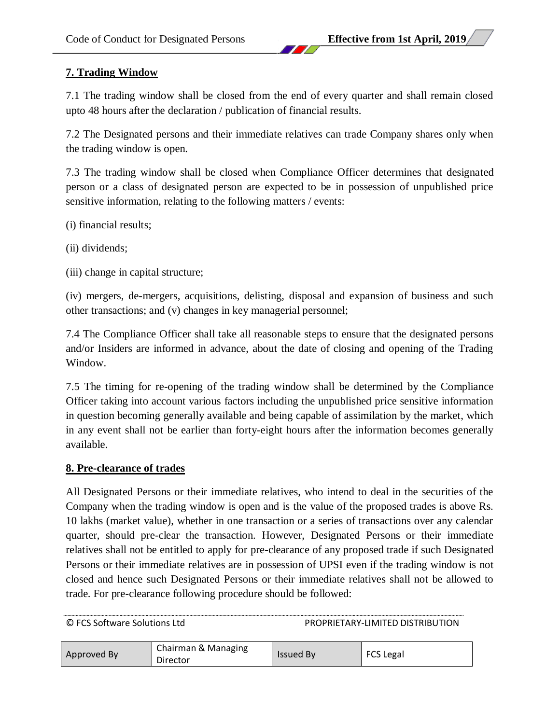# **7. Trading Window**

7.1 The trading window shall be closed from the end of every quarter and shall remain closed upto 48 hours after the declaration / publication of financial results.

7.2 The Designated persons and their immediate relatives can trade Company shares only when the trading window is open.

7.3 The trading window shall be closed when Compliance Officer determines that designated person or a class of designated person are expected to be in possession of unpublished price sensitive information, relating to the following matters / events:

(i) financial results;

- (ii) dividends;
- (iii) change in capital structure;

(iv) mergers, de-mergers, acquisitions, delisting, disposal and expansion of business and such other transactions; and (v) changes in key managerial personnel;

7.4 The Compliance Officer shall take all reasonable steps to ensure that the designated persons and/or Insiders are informed in advance, about the date of closing and opening of the Trading Window.

7.5 The timing for re-opening of the trading window shall be determined by the Compliance Officer taking into account various factors including the unpublished price sensitive information in question becoming generally available and being capable of assimilation by the market, which in any event shall not be earlier than forty-eight hours after the information becomes generally available.

#### **8. Pre-clearance of trades**

All Designated Persons or their immediate relatives, who intend to deal in the securities of the Company when the trading window is open and is the value of the proposed trades is above Rs. 10 lakhs (market value), whether in one transaction or a series of transactions over any calendar quarter, should pre-clear the transaction. However, Designated Persons or their immediate relatives shall not be entitled to apply for pre-clearance of any proposed trade if such Designated Persons or their immediate relatives are in possession of UPSI even if the trading window is not closed and hence such Designated Persons or their immediate relatives shall not be allowed to trade. For pre-clearance following procedure should be followed:

| Approved By | Chairman & Managing<br>Director | <b>Issued By</b> | <b>FCS Legal</b> |
|-------------|---------------------------------|------------------|------------------|
|-------------|---------------------------------|------------------|------------------|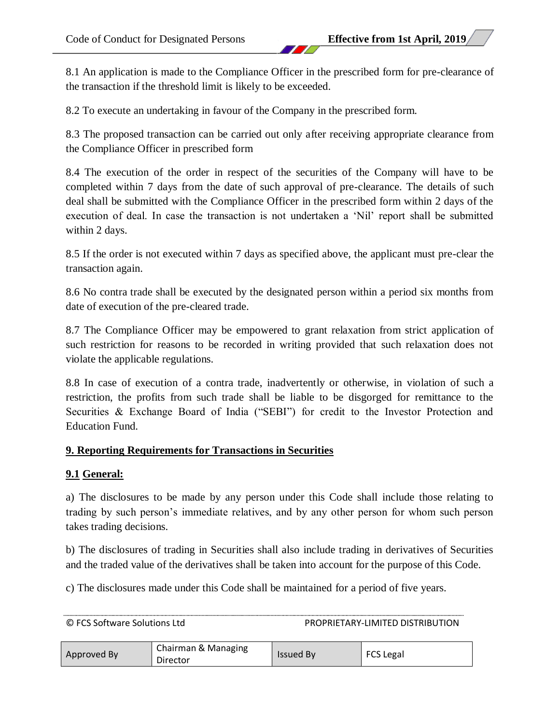8.1 An application is made to the Compliance Officer in the prescribed form for pre-clearance of the transaction if the threshold limit is likely to be exceeded.

8.2 To execute an undertaking in favour of the Company in the prescribed form.

8.3 The proposed transaction can be carried out only after receiving appropriate clearance from the Compliance Officer in prescribed form

8.4 The execution of the order in respect of the securities of the Company will have to be completed within 7 days from the date of such approval of pre-clearance. The details of such deal shall be submitted with the Compliance Officer in the prescribed form within 2 days of the execution of deal. In case the transaction is not undertaken a 'Nil' report shall be submitted within 2 days.

8.5 If the order is not executed within 7 days as specified above, the applicant must pre-clear the transaction again.

8.6 No contra trade shall be executed by the designated person within a period six months from date of execution of the pre-cleared trade.

8.7 The Compliance Officer may be empowered to grant relaxation from strict application of such restriction for reasons to be recorded in writing provided that such relaxation does not violate the applicable regulations.

8.8 In case of execution of a contra trade, inadvertently or otherwise, in violation of such a restriction, the profits from such trade shall be liable to be disgorged for remittance to the Securities & Exchange Board of India ("SEBI") for credit to the Investor Protection and Education Fund.

# **9. Reporting Requirements for Transactions in Securities**

# **9.1 General:**

a) The disclosures to be made by any person under this Code shall include those relating to trading by such person's immediate relatives, and by any other person for whom such person takes trading decisions.

b) The disclosures of trading in Securities shall also include trading in derivatives of Securities and the traded value of the derivatives shall be taken into account for the purpose of this Code.

c) The disclosures made under this Code shall be maintained for a period of five years.

| © FCS Software Solutions Ltd |                                 | PROPRIETARY-LIMITED DISTRIBUTION |           |
|------------------------------|---------------------------------|----------------------------------|-----------|
| Approved By                  | Chairman & Managing<br>Director | <b>Issued By</b>                 | FCS Legal |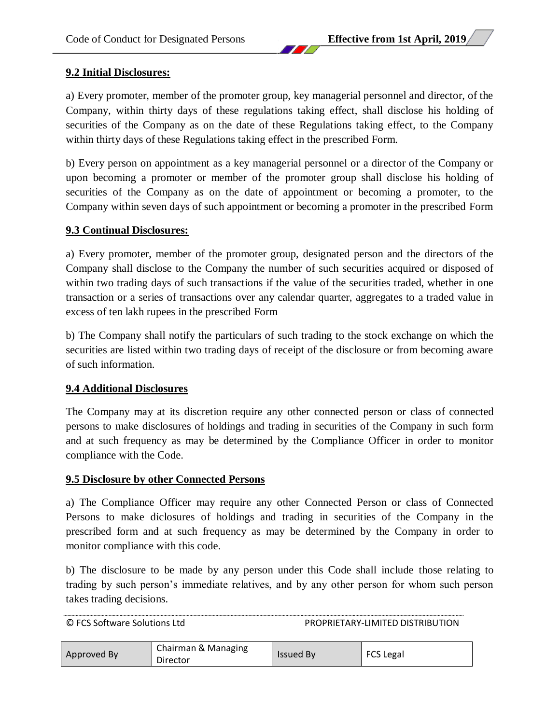### **9.2 Initial Disclosures:**

a) Every promoter, member of the promoter group, key managerial personnel and director, of the Company, within thirty days of these regulations taking effect, shall disclose his holding of securities of the Company as on the date of these Regulations taking effect, to the Company within thirty days of these Regulations taking effect in the prescribed Form.

b) Every person on appointment as a key managerial personnel or a director of the Company or upon becoming a promoter or member of the promoter group shall disclose his holding of securities of the Company as on the date of appointment or becoming a promoter, to the Company within seven days of such appointment or becoming a promoter in the prescribed Form

#### **9.3 Continual Disclosures:**

a) Every promoter, member of the promoter group, designated person and the directors of the Company shall disclose to the Company the number of such securities acquired or disposed of within two trading days of such transactions if the value of the securities traded, whether in one transaction or a series of transactions over any calendar quarter, aggregates to a traded value in excess of ten lakh rupees in the prescribed Form

b) The Company shall notify the particulars of such trading to the stock exchange on which the securities are listed within two trading days of receipt of the disclosure or from becoming aware of such information.

#### **9.4 Additional Disclosures**

The Company may at its discretion require any other connected person or class of connected persons to make disclosures of holdings and trading in securities of the Company in such form and at such frequency as may be determined by the Compliance Officer in order to monitor compliance with the Code.

#### **9.5 Disclosure by other Connected Persons**

a) The Compliance Officer may require any other Connected Person or class of Connected Persons to make diclosures of holdings and trading in securities of the Company in the prescribed form and at such frequency as may be determined by the Company in order to monitor compliance with this code.

b) The disclosure to be made by any person under this Code shall include those relating to trading by such person's immediate relatives, and by any other person for whom such person takes trading decisions.

| Approved By | Chairman & Managing<br>Director | <b>Issued By</b> | <b>FCS Legal</b> |
|-------------|---------------------------------|------------------|------------------|
|-------------|---------------------------------|------------------|------------------|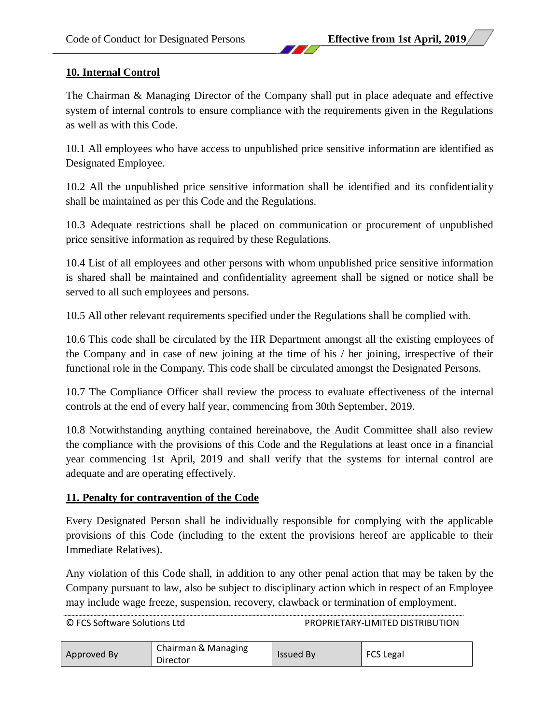# **10. Internal Control**

The Chairman & Managing Director of the Company shall put in place adequate and effective system of internal controls to ensure compliance with the requirements given in the Regulations as well as with this Code.

10.1 All employees who have access to unpublished price sensitive information are identified as Designated Employee.

10.2 All the unpublished price sensitive information shall be identified and its confidentiality shall be maintained as per this Code and the Regulations.

10.3 Adequate restrictions shall be placed on communication or procurement of unpublished price sensitive information as required by these Regulations.

10.4 List of all employees and other persons with whom unpublished price sensitive information is shared shall be maintained and confidentiality agreement shall be signed or notice shall be served to all such employees and persons.

10.5 All other relevant requirements specified under the Regulations shall be complied with.

10.6 This code shall be circulated by the HR Department amongst all the existing employees of the Company and in case of new joining at the time of his / her joining, irrespective of their functional role in the Company. This code shall be circulated amongst the Designated Persons.

10.7 The Compliance Officer shall review the process to evaluate effectiveness of the internal controls at the end of every half year, commencing from 30th September, 2019.

10.8 Notwithstanding anything contained hereinabove, the Audit Committee shall also review the compliance with the provisions of this Code and the Regulations at least once in a financial year commencing 1st April, 2019 and shall verify that the systems for internal control are adequate and are operating effectively.

# **11. Penalty for contravention of the Code**

Every Designated Person shall be individually responsible for complying with the applicable provisions of this Code (including to the extent the provisions hereof are applicable to their Immediate Relatives).

Any violation of this Code shall, in addition to any other penal action that may be taken by the Company pursuant to law, also be subject to disciplinary action which in respect of an Employee may include wage freeze, suspension, recovery, clawback or termination of employment.

| © FCS Software Solutions Ltd |  |
|------------------------------|--|
|------------------------------|--|

PROPRIETARY-LIMITED DISTRIBUTION

| Approved By | Chairman & Managing<br>Director | <b>Issued By</b> | <b>FCS Legal</b> |
|-------------|---------------------------------|------------------|------------------|
|-------------|---------------------------------|------------------|------------------|